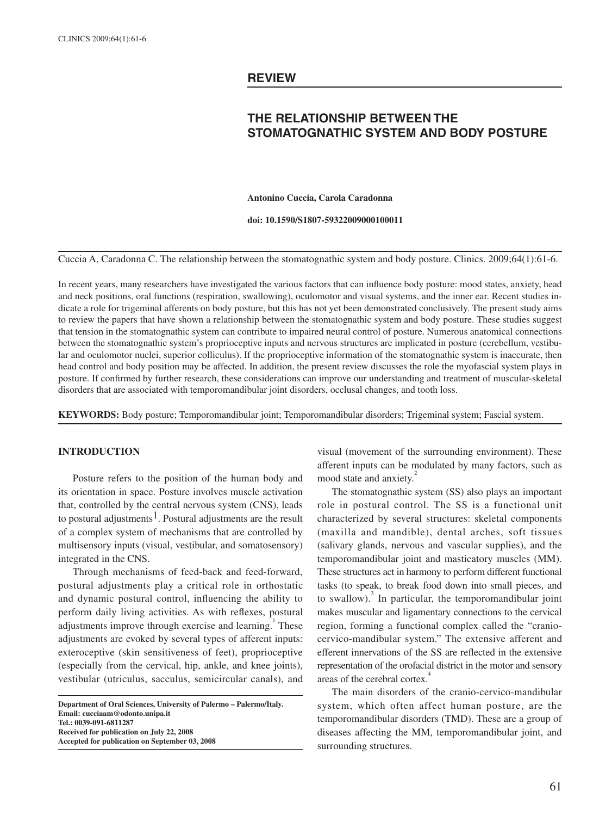# **REVIEW**

# **The relationship between the stomatognathic system and body posture**

**Antonino Cuccia, Carola Caradonna**

**doi: 10.1590/S1807-59322009000100011**

Cuccia A, Caradonna C. The relationship between the stomatognathic system and body posture. Clinics. 2009;64(1):61-6.

In recent years, many researchers have investigated the various factors that can influence body posture: mood states, anxiety, head and neck positions, oral functions (respiration, swallowing), oculomotor and visual systems, and the inner ear. Recent studies indicate a role for trigeminal afferents on body posture, but this has not yet been demonstrated conclusively. The present study aims to review the papers that have shown a relationship between the stomatognathic system and body posture. These studies suggest that tension in the stomatognathic system can contribute to impaired neural control of posture. Numerous anatomical connections between the stomatognathic system's proprioceptive inputs and nervous structures are implicated in posture (cerebellum, vestibular and oculomotor nuclei, superior colliculus). If the proprioceptive information of the stomatognathic system is inaccurate, then head control and body position may be affected. In addition, the present review discusses the role the myofascial system plays in posture. If confirmed by further research, these considerations can improve our understanding and treatment of muscular-skeletal disorders that are associated with temporomandibular joint disorders, occlusal changes, and tooth loss.

**KEYWORDS:** Body posture; Temporomandibular joint; Temporomandibular disorders; Trigeminal system; Fascial system.

#### **INTRODUCTION**

Posture refers to the position of the human body and its orientation in space. Posture involves muscle activation that, controlled by the central nervous system (CNS), leads to postural adjustments<sup>1</sup>. Postural adjustments are the result of a complex system of mechanisms that are controlled by multisensory inputs (visual, vestibular, and somatosensory) integrated in the CNS.

Through mechanisms of feed-back and feed-forward, postural adjustments play a critical role in orthostatic and dynamic postural control, influencing the ability to perform daily living activities. As with reflexes, postural adjustments improve through exercise and learning.<sup>1</sup> These adjustments are evoked by several types of afferent inputs: exteroceptive (skin sensitiveness of feet), proprioceptive (especially from the cervical, hip, ankle, and knee joints), vestibular (utriculus, sacculus, semicircular canals), and

**Department of Oral Sciences, University of Palermo – Palermo/Italy. Email: cucciaam@odonto.unipa.it Tel.: 0039-091-6811287 Received for publication on July 22, 2008 Accepted for publication on September 03, 2008**

visual (movement of the surrounding environment). These afferent inputs can be modulated by many factors, such as mood state and anxiety.<sup>2</sup>

The stomatognathic system (SS) also plays an important role in postural control. The SS is a functional unit characterized by several structures: skeletal components (maxilla and mandible), dental arches, soft tissues (salivary glands, nervous and vascular supplies), and the temporomandibular joint and masticatory muscles (MM). These structures act in harmony to perform different functional tasks (to speak, to break food down into small pieces, and to swallow).<sup>3</sup> In particular, the temporomandibular joint makes muscular and ligamentary connections to the cervical region, forming a functional complex called the "craniocervico-mandibular system." The extensive afferent and efferent innervations of the SS are reflected in the extensive representation of the orofacial district in the motor and sensory areas of the cerebral cortex.

The main disorders of the cranio-cervico-mandibular system, which often affect human posture, are the temporomandibular disorders (TMD). These are a group of diseases affecting the MM, temporomandibular joint, and surrounding structures.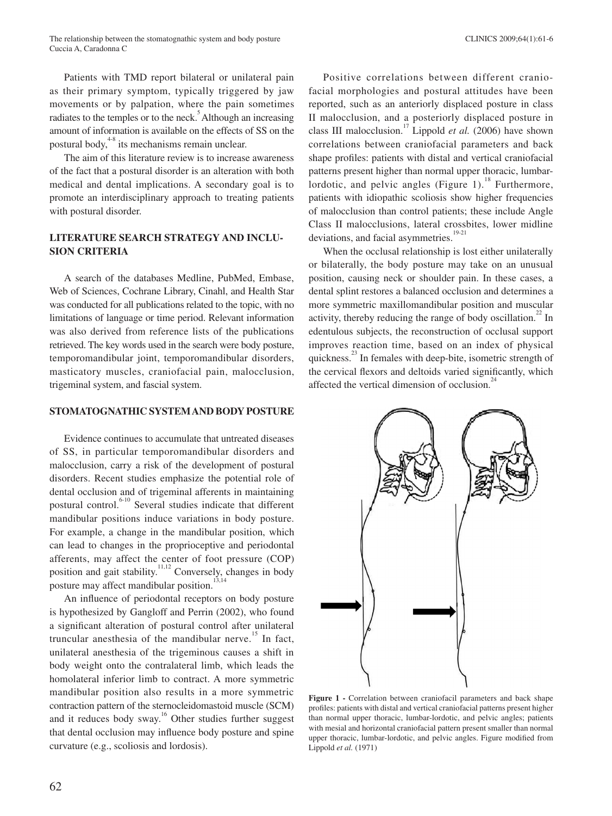Patients with TMD report bilateral or unilateral pain as their primary symptom, typically triggered by jaw movements or by palpation, where the pain sometimes radiates to the temples or to the neck.<sup>5</sup> Although an increasing amount of information is available on the effects of SS on the postural body, $4-8$  its mechanisms remain unclear.

The aim of this literature review is to increase awareness of the fact that a postural disorder is an alteration with both medical and dental implications. A secondary goal is to promote an interdisciplinary approach to treating patients with postural disorder.

## **LITERATURE SEARCH STRATEGY AND INCLU-SION CRITERIA**

A search of the databases Medline, PubMed, Embase, Web of Sciences, Cochrane Library, Cinahl, and Health Star was conducted for all publications related to the topic, with no limitations of language or time period. Relevant information was also derived from reference lists of the publications retrieved. The key words used in the search were body posture, temporomandibular joint, temporomandibular disorders, masticatory muscles, craniofacial pain, malocclusion, trigeminal system, and fascial system.

#### **STOMATOGNATHIC SYSTEM AND BODY POSTURE**

Evidence continues to accumulate that untreated diseases of SS, in particular temporomandibular disorders and malocclusion, carry a risk of the development of postural disorders. Recent studies emphasize the potential role of dental occlusion and of trigeminal afferents in maintaining postural control. $6-10$  Several studies indicate that different mandibular positions induce variations in body posture. For example, a change in the mandibular position, which can lead to changes in the proprioceptive and periodontal afferents, may affect the center of foot pressure (COP) position and gait stability.<sup>11,12</sup> Conversely, changes in body posture may affect mandibular position.<sup>13</sup>

An influence of periodontal receptors on body posture is hypothesized by Gangloff and Perrin (2002), who found a significant alteration of postural control after unilateral truncular anesthesia of the mandibular nerve.<sup>15</sup> In fact, unilateral anesthesia of the trigeminous causes a shift in body weight onto the contralateral limb, which leads the homolateral inferior limb to contract. A more symmetric mandibular position also results in a more symmetric contraction pattern of the sternocleidomastoid muscle (SCM) and it reduces body sway.<sup>16</sup> Other studies further suggest that dental occlusion may influence body posture and spine curvature (e.g., scoliosis and lordosis).

Positive correlations between different craniofacial morphologies and postural attitudes have been reported, such as an anteriorly displaced posture in class II malocclusion, and a posteriorly displaced posture in class III malocclusion.<sup>17</sup> Lippold *et al.* (2006) have shown correlations between craniofacial parameters and back shape profiles: patients with distal and vertical craniofacial patterns present higher than normal upper thoracic, lumbarlordotic, and pelvic angles (Figure 1).<sup>18</sup> Furthermore, patients with idiopathic scoliosis show higher frequencies of malocclusion than control patients; these include Angle Class II malocclusions, lateral crossbites, lower midline deviations, and facial asymmetries.<sup>19-21</sup>

When the occlusal relationship is lost either unilaterally or bilaterally, the body posture may take on an unusual position, causing neck or shoulder pain. In these cases, a dental splint restores a balanced occlusion and determines a more symmetric maxillomandibular position and muscular activity, thereby reducing the range of body oscillation.<sup>22</sup> In edentulous subjects, the reconstruction of occlusal support improves reaction time, based on an index of physical quickness.<sup>23</sup> In females with deep-bite, isometric strength of the cervical flexors and deltoids varied significantly, which affected the vertical dimension of occlusion.<sup>2</sup>



Figure 1 - Correlation between craniofacil parameters and back shape profiles: patients with distal and vertical craniofacial patterns present higher than normal upper thoracic, lumbar-lordotic, and pelvic angles; patients with mesial and horizontal craniofacial pattern present smaller than normal upper thoracic, lumbar-lordotic, and pelvic angles. Figure modified from Lippold *et al.* (1971)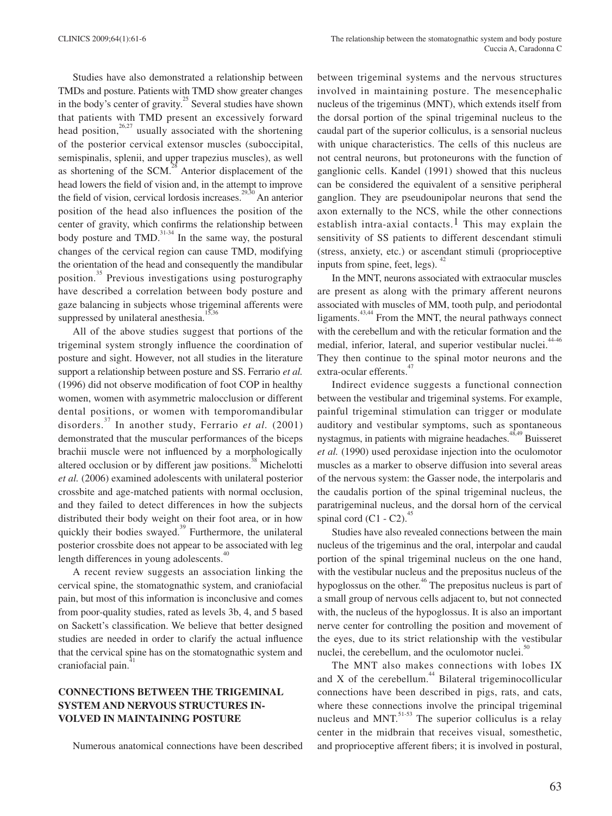Studies have also demonstrated a relationship between TMDs and posture. Patients with TMD show greater changes in the body's center of gravity.<sup>25</sup> Several studies have shown that patients with TMD present an excessively forward head position,  $26.27$  usually associated with the shortening of the posterior cervical extensor muscles (suboccipital, semispinalis, splenii, and upper trapezius muscles), as well as shortening of the  $SCM<sup>28</sup>$ . Anterior displacement of the head lowers the field of vision and, in the attempt to improve the field of vision, cervical lordosis increases.<sup>29,30</sup> An anterior position of the head also influences the position of the center of gravity, which confirms the relationship between body posture and TMD. $^{31-34}$  In the same way, the postural changes of the cervical region can cause TMD, modifying the orientation of the head and consequently the mandibular position.<sup>35</sup> Previous investigations using posturography have described a correlation between body posture and gaze balancing in subjects whose trigeminal afferents were suppressed by unilateral anesthesia.<sup>15,36</sup>

All of the above studies suggest that portions of the trigeminal system strongly influence the coordination of posture and sight. However, not all studies in the literature support a relationship between posture and SS. Ferrario *et al.*  (1996) did not observe modification of foot COP in healthy women, women with asymmetric malocclusion or different dental positions, or women with temporomandibular disorders.37 In another study, Ferrario *et al.* (2001) demonstrated that the muscular performances of the biceps brachii muscle were not influenced by a morphologically altered occlusion or by different jaw positions.<sup>38</sup> Michelotti *et al.* (2006) examined adolescents with unilateral posterior crossbite and age-matched patients with normal occlusion, and they failed to detect differences in how the subjects distributed their body weight on their foot area, or in how quickly their bodies swayed. $39$  Furthermore, the unilateral posterior crossbite does not appear to be associated with leg length differences in young adolescents.<sup>40</sup>

A recent review suggests an association linking the cervical spine, the stomatognathic system, and craniofacial pain, but most of this information is inconclusive and comes from poor-quality studies, rated as levels 3b, 4, and 5 based on Sackett's classification. We believe that better designed studies are needed in order to clarify the actual influence that the cervical spine has on the stomatognathic system and craniofacial pain.

## **CONNECTIONS BETWEEN THE TRIGEMINAL SYSTEM AND NERVOUS STRUCTURES IN-VOLVED IN MAINTAINING POSTURE**

Numerous anatomical connections have been described

between trigeminal systems and the nervous structures involved in maintaining posture. The mesencephalic nucleus of the trigeminus (MNT), which extends itself from the dorsal portion of the spinal trigeminal nucleus to the caudal part of the superior colliculus, is a sensorial nucleus with unique characteristics. The cells of this nucleus are not central neurons, but protoneurons with the function of ganglionic cells. Kandel (1991) showed that this nucleus can be considered the equivalent of a sensitive peripheral ganglion. They are pseudounipolar neurons that send the axon externally to the NCS, while the other connections establish intra-axial contacts.<sup>1</sup> This may explain the sensitivity of SS patients to different descendant stimuli (stress, anxiety, etc.) or ascendant stimuli (proprioceptive inputs from spine, feet, legs).  $42$ 

In the MNT, neurons associated with extraocular muscles are present as along with the primary afferent neurons associated with muscles of MM, tooth pulp, and periodontal ligaments. $43,44$  From the MNT, the neural pathways connect with the cerebellum and with the reticular formation and the medial, inferior, lateral, and superior vestibular nuclei.<sup>44-46</sup> They then continue to the spinal motor neurons and the extra-ocular efferents.<sup>4</sup>

Indirect evidence suggests a functional connection between the vestibular and trigeminal systems. For example, painful trigeminal stimulation can trigger or modulate auditory and vestibular symptoms, such as spontaneous nystagmus, in patients with migraine headaches.<sup>48,49</sup> Buisseret *et al.* (1990) used peroxidase injection into the oculomotor muscles as a marker to observe diffusion into several areas of the nervous system: the Gasser node, the interpolaris and the caudalis portion of the spinal trigeminal nucleus, the paratrigeminal nucleus, and the dorsal horn of the cervical spinal cord  $(C1 - C2)$ .<sup>4</sup>

Studies have also revealed connections between the main nucleus of the trigeminus and the oral, interpolar and caudal portion of the spinal trigeminal nucleus on the one hand, with the vestibular nucleus and the prepositus nucleus of the hypoglossus on the other.<sup>46</sup> The prepositus nucleus is part of a small group of nervous cells adjacent to, but not connected with, the nucleus of the hypoglossus. It is also an important nerve center for controlling the position and movement of the eyes, due to its strict relationship with the vestibular nuclei, the cerebellum, and the oculomotor nuclei.<sup>5</sup>

The MNT also makes connections with lobes IX and X of the cerebellum.<sup>44</sup> Bilateral trigeminocollicular connections have been described in pigs, rats, and cats, where these connections involve the principal trigeminal nucleus and MNT. $^{51-53}$  The superior colliculus is a relay center in the midbrain that receives visual, somesthetic, and proprioceptive afferent fibers; it is involved in postural,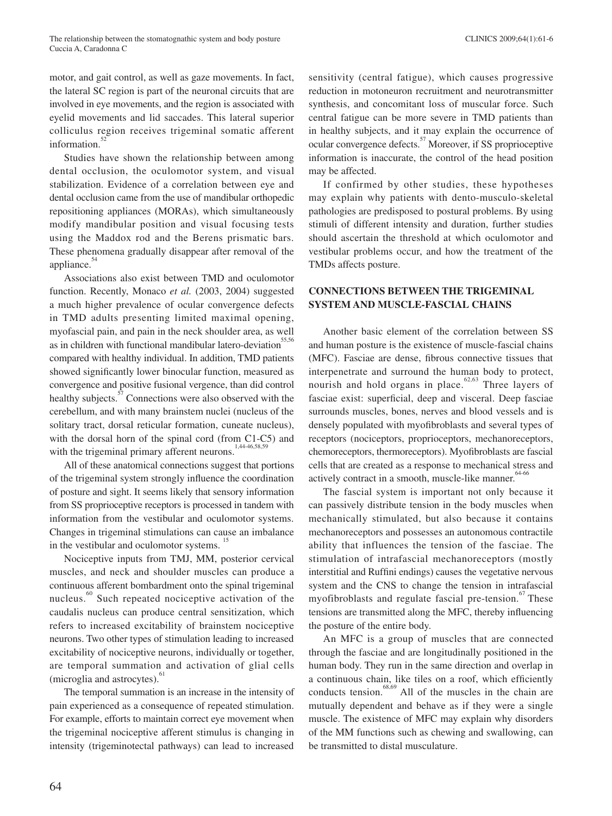motor, and gait control, as well as gaze movements. In fact, the lateral SC region is part of the neuronal circuits that are involved in eye movements, and the region is associated with eyelid movements and lid saccades. This lateral superior colliculus region receives trigeminal somatic afferent information.

Studies have shown the relationship between among dental occlusion, the oculomotor system, and visual stabilization. Evidence of a correlation between eye and dental occlusion came from the use of mandibular orthopedic repositioning appliances (MORAs), which simultaneously modify mandibular position and visual focusing tests using the Maddox rod and the Berens prismatic bars. These phenomena gradually disappear after removal of the appliance. $54$ 

Associations also exist between TMD and oculomotor function. Recently, Monaco et al. (2003, 2004) suggested a much higher prevalence of ocular convergence defects in TMD adults presenting limited maximal opening, myofascial pain, and pain in the neck shoulder area, as well as in children with functional mandibular latero-deviation $55,56$ compared with healthy individual. In addition, TMD patients showed significantly lower binocular function, measured as convergence and positive fusional vergence, than did control healthy subjects.<sup>57</sup> Connections were also observed with the cerebellum, and with many brainstem nuclei (nucleus of the solitary tract, dorsal reticular formation, cuneate nucleus), with the dorsal horn of the spinal cord (from C1-C5) and with the trigeminal primary afferent neurons.<sup>1,44-46,58,59</sup>

All of these anatomical connections suggest that portions of the trigeminal system strongly influence the coordination of posture and sight. It seems likely that sensory information from SS proprioceptive receptors is processed in tandem with information from the vestibular and oculomotor systems. Changes in trigeminal stimulations can cause an imbalance in the vestibular and oculomotor systems.<sup>15</sup>

Nociceptive inputs from TMJ, MM, posterior cervical muscles, and neck and shoulder muscles can produce a continuous afferent bombardment onto the spinal trigeminal nucleus.<sup>60</sup> Such repeated nociceptive activation of the caudalis nucleus can produce central sensitization, which refers to increased excitability of brainstem nociceptive neurons. Two other types of stimulation leading to increased excitability of nociceptive neurons, individually or together, are temporal summation and activation of glial cells (microglia and astrocytes).<sup>61</sup>

The temporal summation is an increase in the intensity of pain experienced as a consequence of repeated stimulation. For example, efforts to maintain correct eye movement when the trigeminal nociceptive afferent stimulus is changing in intensity (trigeminotectal pathways) can lead to increased

sensitivity (central fatigue), which causes progressive reduction in motoneuron recruitment and neurotransmitter synthesis, and concomitant loss of muscular force. Such central fatigue can be more severe in TMD patients than in healthy subjects, and it may explain the occurrence of ocular convergence defects.<sup>57</sup> Moreover, if SS proprioceptive information is inaccurate, the control of the head position may be affected.

If confirmed by other studies, these hypotheses may explain why patients with dento-musculo-skeletal pathologies are predisposed to postural problems. By using stimuli of different intensity and duration, further studies should ascertain the threshold at which oculomotor and vestibular problems occur, and how the treatment of the TMDs affects posture.

### **CONNECTIONS BETWEEN THE TRIGEMINAL SYSTEM AND MUSCLE-FASCIAL CHAINS**

Another basic element of the correlation between SS and human posture is the existence of muscle-fascial chains (MFC). Fasciae are dense, fibrous connective tissues that interpenetrate and surround the human body to protect, nourish and hold organs in place.<sup>62,63</sup> Three layers of fasciae exist: superficial, deep and visceral. Deep fasciae surrounds muscles, bones, nerves and blood vessels and is densely populated with myofibroblasts and several types of receptors (nociceptors, proprioceptors, mechanoreceptors, chemoreceptors, thermoreceptors). Myofibroblasts are fascial cells that are created as a response to mechanical stress and actively contract in a smooth, muscle-like manner. $64-66$ 

The fascial system is important not only because it can passively distribute tension in the body muscles when mechanically stimulated, but also because it contains mechanoreceptors and possesses an autonomous contractile ability that influences the tension of the fasciae. The stimulation of intrafascial mechanoreceptors (mostly interstitial and Ruffini endings) causes the vegetative nervous system and the CNS to change the tension in intrafascial myofibroblasts and regulate fascial pre-tension.<sup>67</sup> These tensions are transmitted along the MFC, thereby influencing the posture of the entire body.

An MFC is a group of muscles that are connected through the fasciae and are longitudinally positioned in the human body. They run in the same direction and overlap in a continuous chain, like tiles on a roof, which efficiently conducts tension.<sup>68,69</sup> All of the muscles in the chain are mutually dependent and behave as if they were a single muscle. The existence of MFC may explain why disorders of the MM functions such as chewing and swallowing, can be transmitted to distal musculature.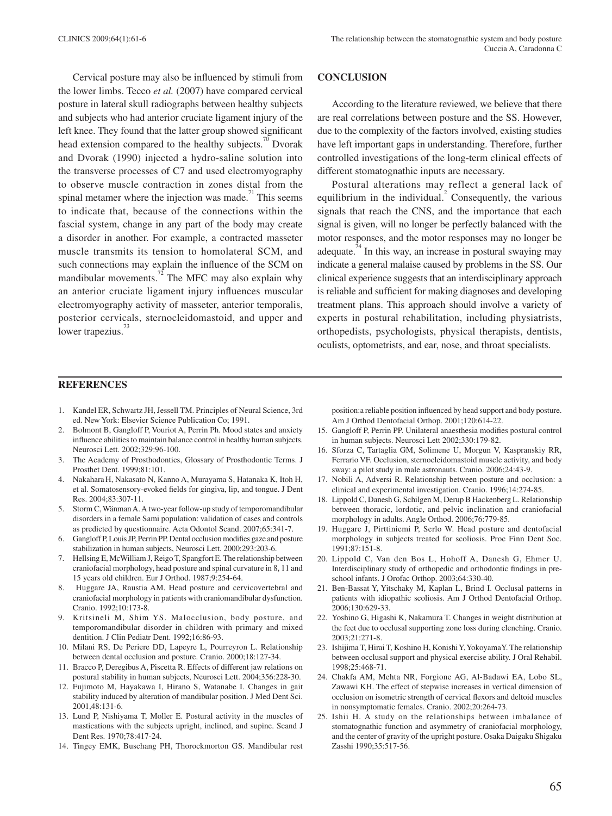Cervical posture may also be influenced by stimuli from the lower limbs. Tecco *et al.* (2007) have compared cervical posture in lateral skull radiographs between healthy subjects and subjects who had anterior cruciate ligament injury of the left knee. They found that the latter group showed significant head extension compared to the healthy subjects.<sup>70</sup> Dvorak and Dvorak (1990) injected a hydro-saline solution into the transverse processes of C7 and used electromyography to observe muscle contraction in zones distal from the spinal metamer where the injection was made.<sup>71</sup> This seems to indicate that, because of the connections within the fascial system, change in any part of the body may create a disorder in another. For example, a contracted masseter muscle transmits its tension to homolateral SCM, and such connections may explain the influence of the SCM on mandibular movements. $^{72}$  The MFC may also explain why an anterior cruciate ligament injury influences muscular electromyography activity of masseter, anterior temporalis, posterior cervicals, sternocleidomastoid, and upper and lower trapezius. $13$ 

#### **CONCLUSION**

According to the literature reviewed, we believe that there are real correlations between posture and the SS. However, due to the complexity of the factors involved, existing studies have left important gaps in understanding. Therefore, further controlled investigations of the long-term clinical effects of different stomatognathic inputs are necessary.

Postural alterations may reflect a general lack of equilibrium in the individual.<sup>2</sup> Consequently, the various signals that reach the CNS, and the importance that each signal is given, will no longer be perfectly balanced with the motor responses, and the motor responses may no longer be adequate.<sup> $4\text{ }$ </sup> In this way, an increase in postural swaying may indicate a general malaise caused by problems in the SS. Our clinical experience suggests that an interdisciplinary approach is reliable and sufficient for making diagnoses and developing treatment plans. This approach should involve a variety of experts in postural rehabilitation, including physiatrists, orthopedists, psychologists, physical therapists, dentists, oculists, optometrists, and ear, nose, and throat specialists.

#### **REFERENCES**

- 1. Kandel ER, Schwartz JH, Jessell TM. Principles of Neural Science, 3rd ed. New York: Elsevier Science Publication Co; 1991.
- 2. Bolmont B, Gangloff P, Vouriot A, Perrin Ph. Mood states and anxiety influence abilities to maintain balance control in healthy human subjects. Neurosci Lett. 2002;329:96-100.
- 3. The Academy of Prosthodontics, Glossary of Prosthodontic Terms. J Prosthet Dent. 1999;81:101.
- 4. NakaharaH, Nakasato N, Kanno A, Murayama S, Hatanaka K, Itoh H, et al. Somatosensory-evoked fields for gingiva, lip, and tongue. J Dent Res. 2004;83:307-11.
- 5. Storm C, Wänman A. A two-year follow-up study of temporomandibular disorders in a female Sami population: validation of cases and controls as predicted by questionnaire. Acta Odontol Scand. 2007;65:341-7.
- 6. Gangloff P, Louis JP, Perrin PP. Dental occlusion modifies gaze and posture stabilization in human subjects, Neurosci Lett. 2000;293:203-6.
- 7. Hellsing E, McWilliam J, Reigo T, Spangfort E. The relationship between craniofacial morphology, head posture and spinal curvature in 8, 11 and 15 years old children. Eur J Orthod. 1987;9:254-64.
- 8. Huggare JA, Raustia AM. Head posture and cervicovertebral and craniofacial morphology in patients with craniomandibular dysfunction. Cranio. 1992;10:173-8.
- 9. Kritsineli M, Shim YS. Malocclusion, body posture, and temporomandibular disorder in children with primary and mixed dentition. J Clin Pediatr Dent. 1992;16:86-93.
- 10. Milani RS, De Periere DD, Lapeyre L, Pourreyron L. Relationship between dental occlusion and posture. Cranio. 2000;18:127-34.
- 11. Bracco P, Deregibus A, Piscetta R. Effects of different jaw relations on postural stability in human subjects, Neurosci Lett. 2004;356:228-30.
- 12. Fujimoto M, Hayakawa I, Hirano S, Watanabe I. Changes in gait stability induced by alteration of mandibular position. J Med Dent Sci. 2001,48:131-6.
- 13. Lund P, Nishiyama T, Moller E. Postural activity in the muscles of mastications with the subjects upright, inclined, and supine. Scand J Dent Res. 1970;78:417-24.
- 14. Tingey EMK, Buschang PH, Thorockmorton GS. Mandibular rest

position:a reliable position influenced by head support and body posture. Am J Orthod Dentofacial Orthop. 2001;120:614-22.

- 15. Gangloff P, Perrin PP. Unilateral anaesthesia modifies postural control in human subjects. Neurosci Lett 2002;330:179-82.
- 16. Sforza C, Tartaglia GM, Solimene U, Morgun V, Kaspranskiy RR, Ferrario VF. Occlusion, sternocleidomastoid muscle activity, and body sway: a pilot study in male astronauts. Cranio. 2006;24:43-9.
- 17. Nobili A, Adversi R. Relationship between posture and occlusion: a clinical and experimental investigation. Cranio. 1996;14:274-85.
- 18. Lippold C, Danesh G, Schilgen M, Derup B Hackenberg L. Relationship between thoracic, lordotic, and pelvic inclination and craniofacial morphology in adults. Angle Orthod. 2006;76:779-85.
- 19. Huggare J, Pirttiniemi P, Serlo W. Head posture and dentofacial morphology in subjects treated for scoliosis. Proc Finn Dent Soc. 1991;87:151-8.
- 20. Lippold C, Van den Bos L, Hohoff A, Danesh G, Ehmer U. Interdisciplinary study of orthopedic and orthodontic findings in preschool infants. J Orofac Orthop. 2003;64:330-40.
- 21. Ben-Bassat Y, Yitschaky M, Kaplan L, Brind I. Occlusal patterns in patients with idiopathic scoliosis. Am J Orthod Dentofacial Orthop. 2006;130:629-33.
- 22. Yoshino G, Higashi K, Nakamura T. Changes in weight distribution at the feet due to occlusal supporting zone loss during clenching. Cranio. 2003;21:271-8.
- 23. Ishijima T, Hirai T, Koshino H, Konishi Y, YokoyamaY. The relationship between occlusal support and physical exercise ability. J Oral Rehabil. 1998;25:468-71.
- 24. Chakfa AM, Mehta NR, Forgione AG, Al-Badawi EA, Lobo SL, Zawawi KH. The effect of stepwise increases in vertical dimension of occlusion on isometric strength of cervical flexors and deltoid muscles in nonsymptomatic females. Cranio. 2002;20:264-73.
- 25. Ishii H. A study on the relationships between imbalance of stomatognathic function and asymmetry of craniofacial morphology, and the center of gravity of the upright posture. Osaka Daigaku Shigaku Zasshi 1990;35:517-56.